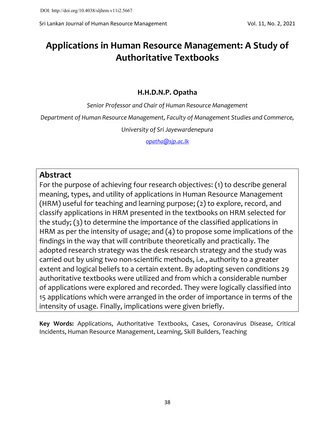Sri Lankan Journal of Human Resource Management Vol. 11, No. 2, 2021

# **Applications in Human Resource Management: A Study of Authoritative Textbooks**

## **H.H.D.N.P. Opatha**

*Senior Professor and Chair of Human Resource Management*

*Department of Human Resource Management, Faculty of Management Studies and Commerce,*

*University of Sri Jayewardenepura*

*[opatha@sjp.ac.lk](mailto:opatha@sjp.ac.lk)*

# **Abstract**

For the purpose of achieving four research objectives: (1) to describe general meaning, types, and utility of applications in Human Resource Management (HRM) useful for teaching and learning purpose; (2) to explore, record, and classify applications in HRM presented in the textbooks on HRM selected for the study; (3) to determine the importance of the classified applications in HRM as per the intensity of usage; and (4) to propose some implications of the findings in the way that will contribute theoretically and practically. The adopted research strategy was the desk research strategy and the study was carried out by using two non-scientific methods, i.e., authority to a greater extent and logical beliefs to a certain extent. By adopting seven conditions 29 authoritative textbooks were utilized and from which a considerable number of applications were explored and recorded. They were logically classified into 15 applications which were arranged in the order of importance in terms of the intensity of usage. Finally, implications were given briefly.

**Key Words:** Applications, Authoritative Textbooks, Cases, Coronavirus Disease, Critical Incidents, Human Resource Management, Learning, Skill Builders, Teaching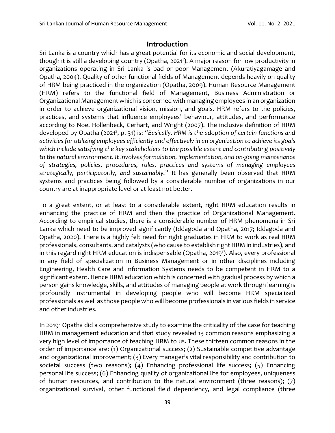#### **Introduction**

Sri Lanka is a country which has a great potential for its economic and social development, though it is still a developing country (Opatha, 2021<sup>1</sup>). A major reason for low productivity in organizations operating in Sri Lanka is bad or poor Management (Akuratiyagamage and Opatha, 2004). Quality of other functional fields of Management depends heavily on quality of HRM being practiced in the organization (Opatha, 2009). Human Resource Management (HRM) refers to the functional field of Management, Business Administration or Organizational Management which is concerned with managing employees in an organization in order to achieve organizational vision, mission, and goals. HRM refers to the policies, practices, and systems that influence employees' behaviour, attitudes, and performance according to Noe, Hollenbeck, Gerhart, and Wright (2007). The inclusive definition of HRM developed by Opatha (2021<sup>2</sup>, p. 31) is: "Basically, HRM is the adoption of certain functions and *activities for utilizing employees efficiently and effectively in an organization to achieve its goals which include satisfying the key stakeholders to the possible extent and contributing positively to the natural environment. It involves formulation, implementation, and on-going maintenance of strategies, policies, procedures, rules, practices and systems of managing employees strategically, participatorily, and sustainably.*" It has generally been observed that HRM systems and practices being followed by a considerable number of organizations in our country are at inappropriate level or at least not better.

To a great extent, or at least to a considerable extent, right HRM education results in enhancing the practice of HRM and then the practice of Organizational Management. According to empirical studies, there is a considerable number of HRM phenomena in Sri Lanka which need to be improved significantly (Iddagoda and Opatha, 2017; Iddagoda and Opatha, 2020). There is a highly felt need for right graduates in HRM to work as real HRM professionals, consultants, and catalysts (who cause to establish right HRM in industries), and in this regard right HRM education is indispensable (Opatha, 2019<sup>1</sup>). Also, every professional in any field of specialization in Business Management or in other disciplines including Engineering, Health Care and Information Systems needs to be competent in HRM to a significant extent. Hence HRM education which is concerned with gradual process by which a person gains knowledge, skills, and attitudes of managing people at work through learning is profoundly instrumental in developing people who will become HRM specialized professionals as well as those people who will become professionals in various fields in service and other industries.

In 2019<sup>2</sup> Opatha did a comprehensive study to examine the criticality of the case for teaching HRM in management education and that study revealed 13 common reasons emphasizing a very high level of importance of teaching HRM to us. These thirteen common reasons in the order of importance are: (1) Organizational success; (2) Sustainable competitive advantage and organizational improvement; (3) Every manager's vital responsibility and contribution to societal success (two reasons); (4) Enhancing professional life success; (5) Enhancing personal life success; (6) Enhancing quality of organizational life for employees, uniqueness of human resources, and contribution to the natural environment (three reasons); (7) organizational survival, other functional field dependency, and legal compliance (three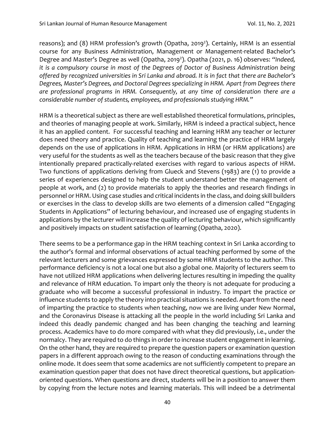reasons); and (8) HRM profession's growth (Opatha, 2019<sup>2</sup>). Certainly, HRM is an essential course for any Business Administration, Management or Management-related Bachelor's Degree and Master's Degree as well (Opatha, 2019<sup>2</sup>). Opatha (2021, p. 16) observes: "Indeed, *it is a compulsory course in most of the Degrees of Doctor of Business Administration being offered by recognized universities in Sri Lanka and abroad. It is in fact that there are Bachelor's Degrees, Master's Degrees, and Doctoral Degrees specializing in HRM. Apart from Degrees there are professional programs in HRM. Consequently, at any time of consideration there are a considerable number of students, employees, and professionals studying HRM."*

HRM is a theoretical subject as there are well established theoretical formulations, principles, and theories of managing people at work. Similarly, HRM is indeed a practical subject, hence it has an applied content. For successful teaching and learning HRM any teacher or lecturer does need theory and practice. Quality of teaching and learning the practice of HRM largely depends on the use of applications in HRM. Applications in HRM (or HRM applications) are very useful for the students as well as the teachers because of the basic reason that they give intentionally prepared practically-related exercises with regard to various aspects of HRM. Two functions of applications deriving from Glueck and Stevens (1983) are (1) to provide a series of experiences designed to help the student understand better the management of people at work, and (2) to provide materials to apply the theories and research findings in personnel or HRM. Using case studies and critical incidents in the class, and doing skill builders or exercises in the class to develop skills are two elements of a dimension called "Engaging Students in Applications" of lecturing behaviour, and increased use of engaging students in applications by the lecturer will increase the quality of lecturing behaviour, which significantly and positively impacts on student satisfaction of learning (Opatha, 2020).

There seems to be a performance gap in the HRM teaching context in Sri Lanka according to the author's formal and informal observations of actual teaching performed by some of the relevant lecturers and some grievances expressed by some HRM students to the author. This performance deficiency is not a local one but also a global one. Majority of lecturers seem to have not utilized HRM applications when delivering lectures resulting in impeding the quality and relevance of HRM education. To impart only the theory is not adequate for producing a graduate who will become a successful professional in industry. To impart the practice or influence students to apply the theory into practical situations is needed. Apart from the need of imparting the practice to students when teaching, now we are living under New Normal, and the Coronavirus Disease is attacking all the people in the world including Sri Lanka and indeed this deadly pandemic changed and has been changing the teaching and learning process. Academics have to do more compared with what they did previously, i.e., under the normalcy. They are required to do things in order to increase student engagement in learning. On the other hand, they are required to prepare the question papers or examination question papers in a different approach owing to the reason of conducting examinations through the online mode. It does seem that some academics are not sufficiently competent to prepare an examination question paper that does not have direct theoretical questions, but applicationoriented questions. When questions are direct, students will be in a position to answer them by copying from the lecture notes and learning materials. This will indeed be a detrimental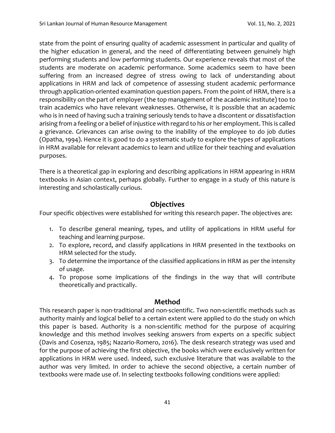state from the point of ensuring quality of academic assessment in particular and quality of the higher education in general, and the need of differentiating between genuinely high performing students and low performing students. Our experience reveals that most of the students are moderate on academic performance. Some academics seem to have been suffering from an increased degree of stress owing to lack of understanding about applications in HRM and lack of competence of assessing student academic performance through application-oriented examination question papers. From the point of HRM, there is a responsibility on the part of employer (the top management of the academic institute) too to train academics who have relevant weaknesses. Otherwise, it is possible that an academic who is in need of having such a training seriously tends to have a discontent or dissatisfaction arising from a feeling or a belief of injustice with regard to his or her employment. This is called a grievance. Grievances can arise owing to the inability of the employee to do job duties (Opatha, 1994). Hence it is good to do a systematic study to explore the types of applications in HRM available for relevant academics to learn and utilize for their teaching and evaluation purposes.

There is a theoretical gap in exploring and describing applications in HRM appearing in HRM textbooks in Asian context, perhaps globally. Further to engage in a study of this nature is interesting and scholastically curious.

#### **Objectives**

Four specific objectives were established for writing this research paper. The objectives are:

- 1. To describe general meaning, types, and utility of applications in HRM useful for teaching and learning purpose.
- 2. To explore, record, and classify applications in HRM presented in the textbooks on HRM selected for the study.
- 3. To determine the importance of the classified applications in HRM as per the intensity of usage.
- 4. To propose some implications of the findings in the way that will contribute theoretically and practically.

## **Method**

This research paper is non-traditional and non-scientific. Two non-scientific methods such as authority mainly and logical belief to a certain extent were applied to do the study on which this paper is based. Authority is a non-scientific method for the purpose of acquiring knowledge and this method involves seeking answers from experts on a specific subject (Davis and Cosenza, 1985; Nazario-Romero, 2016). The desk research strategy was used and for the purpose of achieving the first objective, the books which were exclusively written for applications in HRM were used. Indeed, such exclusive literature that was available to the author was very limited. In order to achieve the second objective, a certain number of textbooks were made use of. In selecting textbooks following conditions were applied: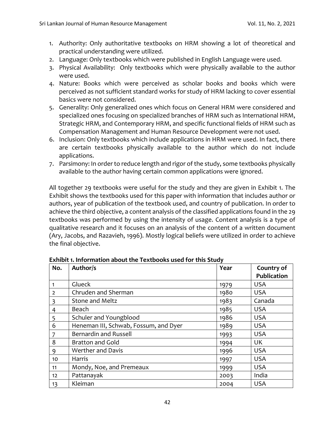- 1. Authority: Only authoritative textbooks on HRM showing a lot of theoretical and practical understanding were utilized.
- 2. Language: Only textbooks which were published in English Language were used.
- 3. Physical Availability: Only textbooks which were physically available to the author were used.
- 4. Nature: Books which were perceived as scholar books and books which were perceived as not sufficient standard works for study of HRM lacking to cover essential basics were not considered.
- 5. Generality: Only generalized ones which focus on General HRM were considered and specialized ones focusing on specialized branches of HRM such as International HRM, Strategic HRM, and Contemporary HRM, and specific functional fields of HRM such as Compensation Management and Human Resource Development were not used.
- 6. Inclusion: Only textbooks which include applications in HRM were used. In fact, there are certain textbooks physically available to the author which do not include applications.
- 7. Parsimony: In order to reduce length and rigor of the study, some textbooks physically available to the author having certain common applications were ignored.

All together 29 textbooks were useful for the study and they are given in Exhibit 1. The Exhibit shows the textbooks used for this paper with information that includes author or authors, year of publication of the textbook used, and country of publication. In order to achieve the third objective, a content analysis of the classified applications found in the 29 textbooks was performed by using the intensity of usage. Content analysis is a type of qualitative research and it focuses on an analysis of the content of a written document (Ary, Jacobs, and Razavieh, 1996). Mostly logical beliefs were utilized in order to achieve the final objective.

| No.            | Author/s                              | Year | Country of         |  |
|----------------|---------------------------------------|------|--------------------|--|
|                |                                       |      | <b>Publication</b> |  |
| 1              | Glueck                                | 1979 | <b>USA</b>         |  |
| $\overline{2}$ | Chruden and Sherman                   | 1980 | <b>USA</b>         |  |
| 3              | <b>Stone and Meltz</b>                | 1983 | Canada             |  |
| 4              | Beach                                 | 1985 | <b>USA</b>         |  |
| 5              | Schuler and Youngblood                | 1986 | <b>USA</b>         |  |
| 6              | Heneman III, Schwab, Fossum, and Dyer | 1989 | <b>USA</b>         |  |
| 7              | <b>Bernardin and Russell</b>          | 1993 | <b>USA</b>         |  |
| 8              | <b>Bratton and Gold</b>               | 1994 | <b>UK</b>          |  |
| 9              | Werther and Davis                     | 1996 | <b>USA</b>         |  |
| 10             | Harris                                | 1997 | <b>USA</b>         |  |
| 11             | Mondy, Noe, and Premeaux              | 1999 | <b>USA</b>         |  |
| 12             | Pattanayak                            | 2003 | India              |  |
| 13             | Kleiman                               | 2004 | <b>USA</b>         |  |

**Exhibit 1. Information about the Textbooks used for this Study**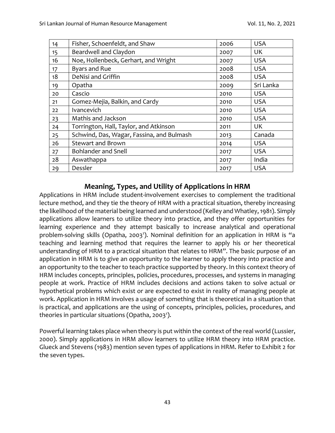| 14 | Fisher, Schoenfeldt, and Shaw             | 2006 | <b>USA</b> |
|----|-------------------------------------------|------|------------|
| 15 | Beardwell and Claydon                     | 2007 | UK         |
| 16 | Noe, Hollenbeck, Gerhart, and Wright      | 2007 | <b>USA</b> |
| 17 | <b>Byars and Rue</b>                      | 2008 | <b>USA</b> |
| 18 | DeNisi and Griffin                        | 2008 | <b>USA</b> |
| 19 | Opatha                                    | 2009 | Sri Lanka  |
| 20 | Cascio                                    | 2010 | <b>USA</b> |
| 21 | Gomez-Mejia, Balkin, and Cardy            | 2010 | <b>USA</b> |
| 22 | <b>Ivancevich</b>                         | 2010 | <b>USA</b> |
| 23 | Mathis and Jackson                        | 2010 | <b>USA</b> |
| 24 | Torrington, Hall, Taylor, and Atkinson    | 2011 | UK         |
| 25 | Schwind, Das, Wagar, Fassina, and Bulmash | 2013 | Canada     |
| 26 | <b>Stewart and Brown</b>                  | 2014 | <b>USA</b> |
| 27 | <b>Bohlander and Snell</b>                | 2017 | <b>USA</b> |
| 28 | Aswathappa                                | 2017 | India      |
| 29 | Dessler                                   | 2017 | <b>USA</b> |

## **Meaning, Types, and Utility of Applications in HRM**

Applications in HRM include student-involvement exercises to complement the traditional lecture method, and they tie the theory of HRM with a practical situation, thereby increasing the likelihood of the material being learned and understood (Kelley and Whatley, 1981). Simply applications allow learners to utilize theory into practice, and they offer opportunities for learning experience and they attempt basically to increase analytical and operational problem-solving skills (Opatha, 2003<sup>1</sup>). Nominal definition for an application in HRM is "a teaching and learning method that requires the learner to apply his or her theoretical understanding of HRM to a practical situation that relates to HRM". The basic purpose of an application in HRM is to give an opportunity to the learner to apply theory into practice and an opportunity to the teacher to teach practice supported by theory. In this context theory of HRM includes concepts, principles, policies, procedures, processes, and systems in managing people at work. Practice of HRM includes decisions and actions taken to solve actual or hypothetical problems which exist or are expected to exist in reality of managing people at work. Application in HRM involves a usage of something that is theoretical in a situation that is practical, and applications are the using of concepts, principles, policies, procedures, and theories in particular situations (Opatha, 2003<sup>1</sup>).

Powerful learning takes place when theory is put within the context of the real world (Lussier, 2000). Simply applications in HRM allow learners to utilize HRM theory into HRM practice. Glueck and Stevens (1983) mention seven types of applications in HRM. Refer to Exhibit 2 for the seven types.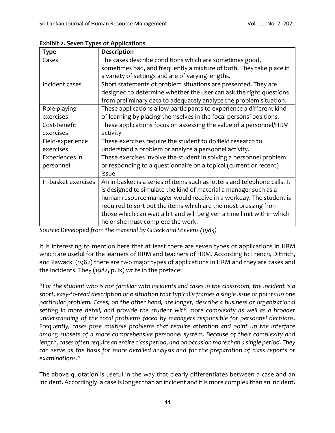| <b>Type</b>         | <b>Description</b>                                                        |
|---------------------|---------------------------------------------------------------------------|
| Cases               | The cases describe conditions which are sometimes good,                   |
|                     | sometimes bad, and frequently a mixture of both. They take place in       |
|                     | a variety of settings and are of varying lengths.                         |
| Incident cases      | Short statements of problem situations are presented. They are            |
|                     | designed to determine whether the user can ask the right questions        |
|                     | from preliminary data to adequately analyze the problem situation.        |
| Role-playing        | These applications allow participants to experience a different kind      |
| exercises           | of learning by placing themselves in the focal persons' positions.        |
| Cost-benefit        | These applications focus on assessing the value of a personnel/HRM        |
| exercises           | activity                                                                  |
| Field-experience    | These exercises require the student to do field research to               |
| exercises           | understand a problem or analyze a personnel activity.                     |
| Experiences in      | These exercises involve the student in solving a personnel problem        |
| personnel           | or responding to a questionnaire on a topical (current or recent)         |
|                     | issue.                                                                    |
| In-basket exercises | An in-basket is a series of items such as letters and telephone calls. It |
|                     | is designed to simulate the kind of material a manager such as a          |
|                     | human resource manager would receive in a workday. The student is         |
|                     | required to sort out the items which are the most pressing from           |
|                     | those which can wait a bit and will be given a time limit within which    |
|                     | he or she must complete the work.                                         |

**Exhibit 2. Seven Types of Applications**

*Source: Developed from the material by Glueck and Stevens (1983)*

It is interesting to mention here that at least there are seven types of applications in HRM which are useful for the learners of HRM and teachers of HRM. According to French, Dittrich, and Zawacki (1982) there are two major types of applications in HRM and they are cases and the incidents. They (1982, p. ix) write in the preface:

*"For the student who is not familiar with incidents and cases in the classroom, the incident is a short, easy-to-read description or a situation that typically frames a single issue or points up one particular problem. Cases, on the other hand, are longer, describe a business or organizational setting in more detail, and provide the student with more complexity as well as a broader understanding of the total problems faced by managers responsible for personnel decisions. Frequently, cases pose multiple problems that require attention and point up the interface among subsets of a more comprehensive personnel system. Because of their complexity and length, cases often require an entire class period, and on occasion more than a single period. They can serve as the basis for more detailed analysis and for the preparation of class reports or examinations."*

The above quotation is useful in the way that clearly differentiates between a case and an incident. Accordingly, a case is longer than an incident and it is more complex than an incident.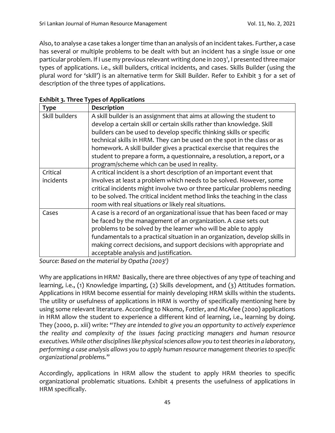Also, to analyse a case takes a longer time than an analysis of an incident takes. Further, a case has several or multiple problems to be dealt with but an incident has a single issue or one particular problem. If I use my previous relevant writing done in 2003', I presented three major types of applications. i.e., skill builders, critical incidents, and cases. Skills Builder (using the plural word for 'skill') is an alternative term for Skill Builder. Refer to Exhibit 3 for a set of description of the three types of applications.

| <b>Type</b>    | <b>Description</b>                                                          |
|----------------|-----------------------------------------------------------------------------|
| Skill builders | A skill builder is an assignment that aims at allowing the student to       |
|                | develop a certain skill or certain skills rather than knowledge. Skill      |
|                | builders can be used to develop specific thinking skills or specific        |
|                | technical skills in HRM. They can be used on the spot in the class or as    |
|                | homework. A skill builder gives a practical exercise that requires the      |
|                | student to prepare a form, a questionnaire, a resolution, a report, or a    |
|                | program/scheme which can be used in reality.                                |
| Critical       | A critical incident is a short description of an important event that       |
| incidents      | involves at least a problem which needs to be solved. However, some         |
|                | critical incidents might involve two or three particular problems needing   |
|                | to be solved. The critical incident method links the teaching in the class  |
|                | room with real situations or likely real situations.                        |
| Cases          | A case is a record of an organizational issue that has been faced or may    |
|                | be faced by the management of an organization. A case sets out              |
|                | problems to be solved by the learner who will be able to apply              |
|                | fundamentals to a practical situation in an organization, develop skills in |
|                | making correct decisions, and support decisions with appropriate and        |
|                | acceptable analysis and justification.                                      |

| <b>Exhibit 3. Three Types of Applications</b> |  |  |
|-----------------------------------------------|--|--|
|-----------------------------------------------|--|--|

*Source: Based on the material by Opatha (2003<sup>1</sup> )*

Why are applications in HRM? Basically, there are three objectives of any type of teaching and learning, i.e., (1) Knowledge imparting, (2) Skills development, and (3) Attitudes formation. Applications in HRM become essential for mainly developing HRM skills within the students. The utility or usefulness of applications in HRM is worthy of specifically mentioning here by using some relevant literature. According to Nkomo, Fottler, and McAfee (2000) applications in HRM allow the student to experience a different kind of learning, i.e., learning by doing. They (2000, p. xiii) write: "*They are intended to give you an opportunity to actively experience the reality and complexity of the issues facing practicing managers and human resource executives. While other disciplines like physical sciences allow you to test theories in a laboratory, performing a case analysis allows you to apply human resource management theories to specific organizational problems.*"

Accordingly, applications in HRM allow the student to apply HRM theories to specific organizational problematic situations. Exhibit 4 presents the usefulness of applications in HRM specifically.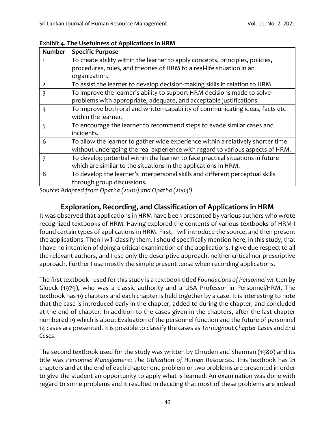| <b>Number</b>  | <b>Specific Purpose</b>                                                         |
|----------------|---------------------------------------------------------------------------------|
|                | To create ability within the learner to apply concepts, principles, policies,   |
|                | procedures, rules, and theories of HRM to a real-life situation in an           |
|                | organization.                                                                   |
| $\overline{2}$ | To assist the learner to develop decision-making skills in relation to HRM.     |
| 3              | To improve the learner's ability to support HRM decisions made to solve         |
|                | problems with appropriate, adequate, and acceptable justifications.             |
| 4              | To improve both oral and written capability of communicating ideas, facts etc   |
|                | within the learner.                                                             |
| 5              | To encourage the learner to recommend steps to evade similar cases and          |
|                | incidents.                                                                      |
| 6              | To allow the learner to gather wide experience within a relatively shorter time |
|                | without undergoing the real experience with regard to various aspects of HRM.   |
| 7              | To develop potential within the learner to face practical situations in future  |
|                | which are similar to the situations in the applications in HRM.                 |
| 8              | To develop the learner's interpersonal skills and different perceptual skills   |
|                | through group discussions.                                                      |

**Exhibit 4. The Usefulness of Applications in HRM**

*Source: Adapted from Opatha (2000) and Opatha (2003<sup>1</sup> )*

## **Exploration, Recording, and Classification of Applications in HRM**

It was observed that applications in HRM have been presented by various authors who wrote recognized textbooks of HRM. Having explored the contents of various textbooks of HRM I found certain types of applications in HRM. First, I will introduce the source, and then present the applications. Then I will classify them. I should specifically mention here, in this study, that I have no intention of doing a critical examination of the applications. I give due respect to all the relevant authors, and I use only the descriptive approach, neither critical nor prescriptive approach. Further I use mostly the simple present tense when recording applications.

The first textbook I used for this study is a textbook titled *Foundations of Personnel* written by Glueck (1979), who was a classic authority and a USA Professor in Personnel/HRM. The textbook has 19 chapters and each chapter is held together by a case. It is interesting to note that the case is introduced early in the chapter, added to during the chapter, and concluded at the end of chapter. In addition to the cases given in the chapters, after the last chapter numbered 19 which is about Evaluation of the personnel function and the future of personnel 14 cases are presented. It is possible to classify the cases as *Throughout Chapter Cases* and *End Cases*.

The second textbook used for the study was written by Chruden and Sherman (1980) and its title was *Personnel Management*: *The Utilization of Human Resources*. This textbook has 21 chapters and at the end of each chapter one problem or two problems are presented in order to give the student an opportunity to apply what is learned. An examination was done with regard to some problems and it resulted in deciding that most of these problems are indeed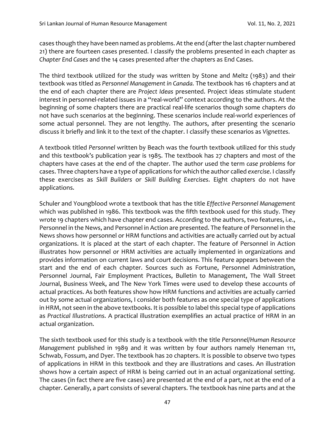cases though they have been named as problems. At the end (after the last chapter numbered 21) there are fourteen cases presented. I classify the problems presented in each chapter as *Chapter End Cases* and the 14 cases presented after the chapters as End Cases.

The third textbook utilized for the study was written by Stone and Meltz (1983) and their textbook was titled as *Personnel Management in Canada.* The textbook has 16 chapters and at the end of each chapter there are *Project Ideas* presented. Project ideas stimulate student interest in personnel-related issues in a "real-world" context according to the authors. At the beginning of some chapters there are practical real-life scenarios though some chapters do not have such scenarios at the beginning. These scenarios include real-world experiences of some actual personnel. They are not lengthy. The authors, after presenting the scenario discuss it briefly and link it to the text of the chapter. I classify these scenarios as *Vignettes*.

A textbook titled *Personnel* written by Beach was the fourth textbook utilized for this study and this textbook's publication year is 1985. The textbook has 27 chapters and most of the chapters have cases at the end of the chapter. The author used the term *case problems* for cases. Three chapters have a type of applications for which the author called *exercise*. I classify these exercises as *Skill Builders* or *Skill Building Exercises*. Eight chapters do not have applications.

Schuler and Youngblood wrote a textbook that has the title *Effective Personnel Management* which was published in 1986. This textbook was the fifth textbook used for this study. They wrote 19 chapters which have chapter end cases. According to the authors, two features, i.e., Personnel in the News, and Personnel in Action are presented. The feature of Personnel in the News shows how personnel or HRM functions and activities are actually carried out by actual organizations. It is placed at the start of each chapter. The feature of Personnel in Action illustrates how personnel or HRM activities are actually implemented in organizations and provides information on current laws and court decisions. This feature appears between the start and the end of each chapter. Sources such as Fortune, Personnel Administration, Personnel Journal, Fair Employment Practices, Bulletin to Management, The Wall Street Journal, Business Week, and The New York Times were used to develop these accounts of actual practices. As both features show how HRM functions and activities are actually carried out by some actual organizations, I consider both features as one special type of applications in HRM, not seen in the above textbooks. It is possible to label this special type of applications as *Practical Illustrations*. A practical illustration exemplifies an actual practice of HRM in an actual organization.

The sixth textbook used for this study is a textbook with the title *Personnel/Human Resource Management* published in 1989 and it was written by four authors namely Heneman 111, Schwab, Fossum, and Dyer. The textbook has 20 chapters. It is possible to observe two types of applications in HRM in this textbook and they are illustrations and cases. An illustration shows how a certain aspect of HRM is being carried out in an actual organizational setting. The cases (in fact there are five cases) are presented at the end of a part, not at the end of a chapter. Generally, a part consists of several chapters. The textbook has nine parts and at the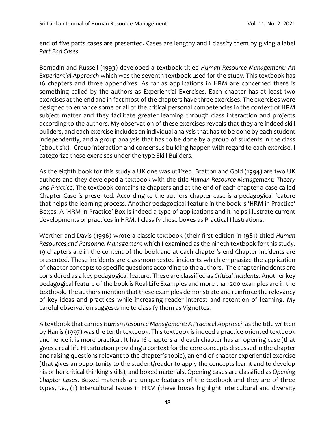end of five parts cases are presented. Cases are lengthy and I classify them by giving a label *Part End Cases*.

Bernadin and Russell (1993) developed a textbook titled *Human Resource Management: An Experiential Approach* which was the seventh textbook used for the study. This textbook has 16 chapters and three appendixes. As far as applications in HRM are concerned there is something called by the authors as Experiential Exercises. Each chapter has at least two exercises at the end and in fact most of the chapters have three exercises. The exercises were designed to enhance some or all of the critical personal competencies in the context of HRM subject matter and they facilitate greater learning through class interaction and projects according to the authors. My observation of these exercises reveals that they are indeed skill builders, and each exercise includes an individual analysis that has to be done by each student independently, and a group analysis that has to be done by a group of students in the class (about six). Group interaction and consensus building happen with regard to each exercise. I categorize these exercises under the type Skill Builders.

As the eighth book for this study a UK one was utilized. Bratton and Gold (1994) are two UK authors and they developed a textbook with the title *Human Resource Management: Theory and Practice*. The textbook contains 12 chapters and at the end of each chapter a case called Chapter Case is presented. According to the authors chapter case is a pedagogical feature that helps the learning process. Another pedagogical feature in the book is 'HRM in Practice' Boxes. A 'HRM in Practice' Box is indeed a type of applications and it helps illustrate current developments or practices in HRM. I classify these boxes as Practical Illustrations.

Werther and Davis (1996) wrote a classic textbook (their first edition in 1981) titled *Human Resources and Personnel Management* which I examined as the nineth textbook for this study. 19 chapters are in the content of the book and at each chapter's end Chapter Incidents are presented. These incidents are classroom-tested incidents which emphasize the application of chapter concepts to specific questions according to the authors. The chapter incidents are considered as a key pedagogical feature. These are classified as *Critical Incidents*. Another key pedagogical feature of the book is Real-Life Examples and more than 200 examples are in the textbook. The authors mention that these examples demonstrate and reinforce the relevancy of key ideas and practices while increasing reader interest and retention of learning. My careful observation suggests me to classify them as Vignettes.

A textbook that carries *Human Resource Management: A Practical Approach* as the title written by Harris (1997) was the tenth textbook. This textbook is indeed a practice-oriented textbook and hence it is more practical. It has 16 chapters and each chapter has an opening case (that gives a real-life HR situation providing a context for the core concepts discussed in the chapter and raising questions relevant to the chapter's topic), an end-of-chapter experiential exercise (that gives an opportunity to the student/reader to apply the concepts learnt and to develop his or her critical thinking skills), and boxed materials. Opening cases are classified as *Opening Chapter Cases*. Boxed materials are unique features of the textbook and they are of three types, i.e., (1) Intercultural Issues in HRM (these boxes highlight intercultural and diversity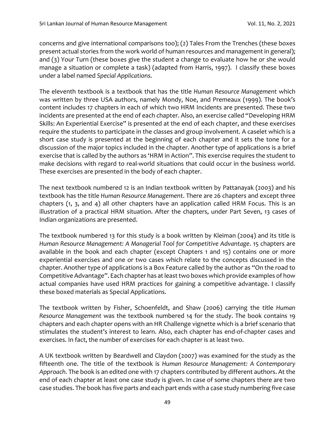concerns and give international comparisons too); (2) Tales From the Trenches (these boxes present actual stories from the work world of human resources and management in general); and (3) Your Turn (these boxes give the student a change to evaluate how he or she would manage a situation or complete a task) (adapted from Harris, 1997). I classify these boxes under a label named *Special Applications*.

The eleventh textbook is a textbook that has the title *Human Resource Management* which was written by three USA authors, namely Mondy, Noe, and Premeaux (1999). The book's content includes 17 chapters in each of which two HRM Incidents are presented. These two incidents are presented at the end of each chapter. Also, an exercise called "Developing HRM Skills: An Experiential Exercise" is presented at the end of each chapter, and these exercises require the students to participate in the classes and group involvement. A caselet which is a short case study is presented at the beginning of each chapter and it sets the tone for a discussion of the major topics included in the chapter. Another type of applications is a brief exercise that is called by the authors as 'HRM in Action". This exercise requires the student to make decisions with regard to real-world situations that could occur in the business world. These exercises are presented in the body of each chapter.

The next textbook numbered 12 is an Indian textbook written by Pattanayak (2003) and his textbook has the title *Human Resource Management*. There are 26 chapters and except three chapters (1, 3, and 4) all other chapters have an application called HRM Focus. This is an illustration of a practical HRM situation. After the chapters, under Part Seven, 13 cases of Indian organizations are presented.

The textbook numbered 13 for this study is a book written by Kleiman (2004) and its title is *Human Resource Management: A Managerial Tool for Competitive Advantage*. 15 chapters are available in the book and each chapter (except Chapters 1 and 15) contains one or more experiential exercises and one or two cases which relate to the concepts discussed in the chapter. Another type of applications is a Box Feature called by the author as "On the road to Competitive Advantage". Each chapter has at least two boxes which provide examples of how actual companies have used HRM practices for gaining a competitive advantage. I classify these boxed materials as Special Applications.

The textbook written by Fisher, Schoenfeldt, and Shaw (2006) carrying the title *Human Resource Management* was the textbook numbered 14 for the study. The book contains 19 chapters and each chapter opens with an HR Challenge vignette which is a brief scenario that stimulates the student's interest to learn. Also, each chapter has end-of-chapter cases and exercises. In fact, the number of exercises for each chapter is at least two.

A UK textbook written by Beardwell and Claydon (2007) was examined for the study as the fifteenth one. The title of the textbook is *Human Resource Management: A Contemporary Approach*. The book is an edited one with 17 chapters contributed by different authors. At the end of each chapter at least one case study is given. In case of some chapters there are two case studies. The book has five parts and each part ends with a case study numbering five case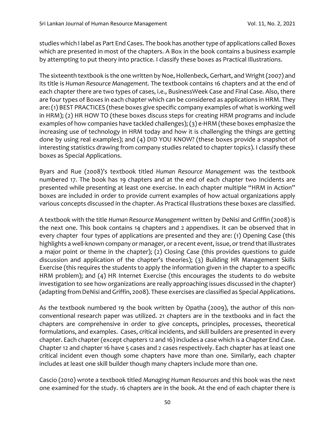studies which I label as Part End Cases. The book has another type of applications called Boxes which are presented in most of the chapters. A Box in the book contains a business example by attempting to put theory into practice. I classify these boxes as Practical Illustrations.

The sixteenth textbook is the one written by Noe, Hollenbeck, Gerhart, and Wright (2007) and its title is *Human Resource Management.* The textbook contains 16 chapters and at the end of each chapter there are two types of cases, i.e., BusinessWeek Case and Final Case. Also, there are four types of Boxes in each chapter which can be considered as applications in HRM. They are: (1) BEST PRACTICES (these boxes give specific company examples of what is working well in HRM); (2) HR HOW TO (these boxes discuss steps for creating HRM programs and include examples of how companies have tackled challenges); (3) e-HRM (these boxes emphasize the increasing use of technology in HRM today and how it is challenging the things are getting done by using real examples); and (4) DID YOU KNOW? (these boxes provide a snapshot of interesting statistics drawing from company studies related to chapter topics). I classify these boxes as Special Applications.

Byars and Rue (2008)'s textbook titled *Human Resource Management* was the textbook numbered 17. The book has 19 chapters and at the end of each chapter two Incidents are presented while presenting at least one exercise. In each chapter multiple "HRM in Action" boxes are included in order to provide current examples of how actual organizations apply various concepts discussed in the chapter. As Practical Illustrations these boxes are classified.

A textbook with the title *Human Resource Management* written by DeNisi and Griffin (2008) is the next one. This book contains 14 chapters and 2 appendixes. It can be observed that in every chapter four types of applications are presented and they are: (1) Opening Case (this highlights a well-known company or manager, or a recent event, issue, or trend that illustrates a major point or theme in the chapter); (2) Closing Case (this provides questions to guide discussion and application of the chapter's theories); (3) Building HR Management Skills Exercise (this requires the students to apply the information given in the chapter to a specific HRM problem); and (4) HR Internet Exercise (this encourages the students to do website investigation to see how organizations are really approaching issues discussed in the chapter) (adapting from DeNisi and Griffin, 2008). These exercises are classified as Special Applications.

As the textbook numbered 19 the book written by Opatha (2009), the author of this nonconventional research paper was utilized. 21 chapters are in the textbooks and in fact the chapters are comprehensive in order to give concepts, principles, processes, theoretical formulations, and examples. Cases, critical incidents, and skill builders are presented in every chapter. Each chapter (except chapters 12 and 16) includes a case which is a Chapter End Case. Chapter 12 and chapter 16 have 5 cases and 2 cases respectively. Each chapter has at least one critical incident even though some chapters have more than one. Similarly, each chapter includes at least one skill builder though many chapters include more than one.

Cascio (2010) wrote a textbook titled *Managing Human Resources* and this book was the next one examined for the study. 16 chapters are in the book. At the end of each chapter there is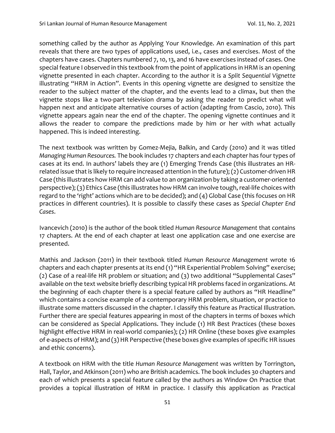something called by the author as Applying Your Knowledge. An examination of this part reveals that there are two types of applications used, i.e., cases and exercises. Most of the chapters have cases. Chapters numbered 7, 10, 13, and 16 have exercises instead of cases. One special feature I observed in this textbook from the point of applications in HRM is an opening vignette presented in each chapter. According to the author it is a *Split Sequential Vignette* illustrating "HRM in Action". Events in this opening vignette are designed to sensitize the reader to the subject matter of the chapter, and the events lead to a climax, but then the vignette stops like a two-part television drama by asking the reader to predict what will happen next and anticipate alternative courses of action (adapting from Cascio, 2010). This vignette appears again near the end of the chapter. The opening vignette continues and it allows the reader to compare the predictions made by him or her with what actually happened. This is indeed interesting.

The next textbook was written by Gomez-Mejia, Balkin, and Cardy (2010) and it was titled *Managing Human Resources.* The book includes 17 chapters and each chapter has four types of cases at its end. In authors' labels they are (1) Emerging Trends Case (this illustrates an HRrelated issue that is likely to require increased attention in the future); (2) Customer-driven HR Case (this illustrates how HRM can add value to an organization by taking a customer-oriented perspective); (3) Ethics Case (this illustrates how HRM can involve tough, real-life choices with regard to the 'right' actions which are to be decided); and (4) Global Case (this focuses on HR practices in different countries). It is possible to classify these cases as *Special Chapter End Cases*.

Ivancevich (2010) is the author of the book titled *Human Resource Management* that contains 17 chapters. At the end of each chapter at least one application case and one exercise are presented.

Mathis and Jackson (2011) in their textbook titled *Human Resource Management* wrote 16 chapters and each chapter presents at its end (1) "HR Experiential Problem Solving" exercise; (2) Case of a real-life HR problem or situation; and (3) two additional "Supplemental Cases" available on the text website briefly describing typical HR problems faced in organizations. At the beginning of each chapter there is a special feature called by authors as "HR Headline" which contains a concise example of a contemporary HRM problem, situation, or practice to illustrate some matters discussed in the chapter. I classify this feature as Practical Illustration. Further there are special features appearing in most of the chapters in terms of boxes which can be considered as Special Applications. They include (1) HR Best Practices (these boxes highlight effective HRM in real-world companies); (2) HR Online (these boxes give examples of e-aspects of HRM); and (3) HR Perspective (these boxes give examples of specific HR issues and ethic concerns).

A textbook on HRM with the title *Human Resource Management* was written by Torrington, Hall, Taylor, and Atkinson (2011) who are British academics. The book includes 30 chapters and each of which presents a special feature called by the authors as Window On Practice that provides a topical illustration of HRM in practice. I classify this application as Practical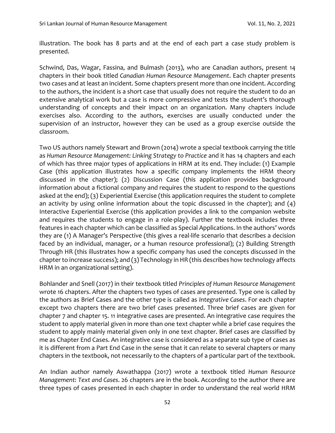illustration. The book has 8 parts and at the end of each part a case study problem is presented.

Schwind, Das, Wagar, Fassina, and Bulmash (2013), who are Canadian authors, present 14 chapters in their book titled *Canadian Human Resource Management*. Each chapter presents two cases and at least an incident. Some chapters present more than one incident. According to the authors, the incident is a short case that usually does not require the student to do an extensive analytical work but a case is more compressive and tests the student's thorough understanding of concepts and their impact on an organization. Many chapters include exercises also. According to the authors, exercises are usually conducted under the supervision of an instructor, however they can be used as a group exercise outside the classroom.

Two US authors namely Stewart and Brown (2014) wrote a special textbook carrying the title as *Human Resource Management: Linking Strategy to Practice* and it has 14 chapters and each of which has three major types of applications in HRM at its end. They include: (1) Example Case (this application illustrates how a specific company implements the HRM theory discussed in the chapter); (2) Discussion Case (this application provides background information about a fictional company and requires the student to respond to the questions asked at the end); (3) Experiential Exercise (this application requires the student to complete an activity by using online information about the topic discussed in the chapter); and (4) Interactive Experiential Exercise (this application provides a link to the companion website and requires the students to engage in a role-play). Further the textbook includes three features in each chapter which can be classified as Special Applications. In the authors' words they are (1) A Manager's Perspective (this gives a real-life scenario that describes a decision faced by an individual, manager, or a human resource professional); (2) Building Strength Through HR (this illustrates how a specific company has used the concepts discussed in the chapter to increase success); and (3) Technology in HR (this describes how technology affects HRM in an organizational setting).

Bohlander and Snell (2017) in their textbook titled *Principles of Human Resource Management* wrote 16 chapters. After the chapters two types of cases are presented. Type one is called by the authors as Brief Cases and the other type is called as *Integrative Cases*. For each chapter except two chapters there are two brief cases presented. Three brief cases are given for chapter 7 and chapter 15. 11 integrative cases are presented. An integrative case requires the student to apply material given in more than one text chapter while a brief case requires the student to apply mainly material given only in one text chapter. Brief cases are classified by me as Chapter End Cases. An integrative case is considered as a separate sub type of cases as it is different from a Part End Case in the sense that it can relate to several chapters or many chapters in the textbook, not necessarily to the chapters of a particular part of the textbook.

An Indian author namely Aswathappa (2017) wrote a textbook titled *Human Resource Management: Text and Cases*. 26 chapters are in the book. According to the author there are three types of cases presented in each chapter in order to understand the real world HRM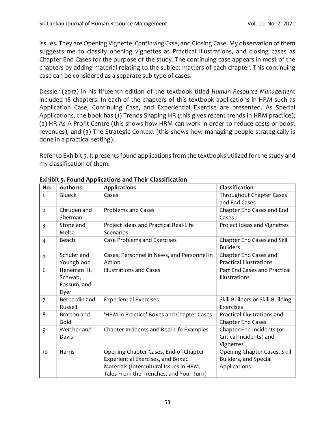issues. They are Opening Vignette, *Continuing Case*, and Closing Case. My observation of them suggests me to classify opening vignettes as Practical Illustrations, and closing cases as Chapter End Cases for the purpose of the study. The continuing case appears in most of the chapters by adding material relating to the subject matters of each chapter. This continuing case can be considered as a separate sub type of cases.

Dessler (2017) in his fifteenth edition of the textbook titled *Human Resource Management* included 18 chapters. In each of the chapters of this textbook applications in HRM such as Application Case, Continuing Case, and Experiential Exercise are presented. As Special Applications, the book has (1) Trends Shaping HR (this gives recent trends in HRM practice); (2) HR As A Profit Centre (this shows how HRM can work in order to reduce costs or boost revenues); and (3) The Strategic Context (this shows how managing people strategically is done in a practical setting).

Refer to Exhibit 5. It presents found applications from the textbooks utilized for the study and my classification of them.

| No.            | Author/s      | <b>Applications</b>                        | Classification                   |
|----------------|---------------|--------------------------------------------|----------------------------------|
| 1              | Glueck        | Cases                                      | Throughout Chapter Cases         |
|                |               |                                            | and End Cases                    |
| $\overline{2}$ | Chruden and   | <b>Problems and Cases</b>                  | Chapter End Cases and End        |
|                | Sherman       |                                            | Cases                            |
| $\overline{3}$ | Stone and     | Project Ideas and Practical Real-Life      | Project Ideas and Vignettes      |
|                | Meltz         | Scenarios                                  |                                  |
| $\overline{4}$ | Beach         | <b>Case Problems and Exercises</b>         | Chapter End Cases and Skill      |
|                |               |                                            | <b>Builders</b>                  |
| 5              | Schuler and   | Cases, Personnel in News, and Personnel in | Chapter End Cases and            |
|                | Youngblood    | Action                                     | <b>Practical Illustrations</b>   |
| 6              | Heneman III,  | <b>Illustrations and Cases</b>             | Part End Cases and Practical     |
|                | Schwab,       |                                            | Illustrations                    |
|                | Fossum, and   |                                            |                                  |
|                | Dyer          |                                            |                                  |
| $\overline{7}$ | Bernardin and | <b>Experiential Exercises</b>              | Skill Builders or Skill Building |
|                | Russell       |                                            | Exercises                        |
| 8              | Bratton and   | 'HRM in Practice' Boxes and Chapter Cases  | Practical Illustrations and      |
|                | Gold          |                                            | <b>Chapter End Cases</b>         |
| 9              | Werther and   | Chapter Incidents and Real-Life Examples   | Chapter End Incidents (or        |
|                | Davis         |                                            | Critical Incidents) and          |
|                |               |                                            | Vignettes                        |
| 10             | Harris        | Opening Chapter Cases, End-of-Chapter      | Opening Chapter Cases, Skill     |
|                |               | Experiential Exercises, and Boxed          | Builders, and Special            |
|                |               | Materials (Intercultural Issues in HRM,    | Applications                     |
|                |               | Tales From the Trenches, and Your Turn)    |                                  |

**Exhibit 5. Found Applications and Their Classification**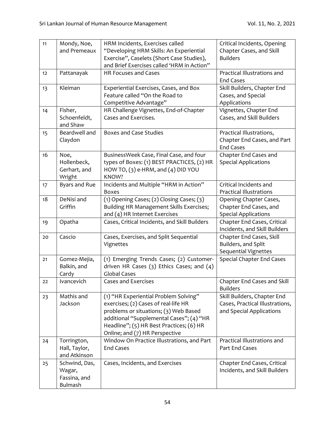| 11              | Mondy, Noe,           | HRM Incidents, Exercises called                                               | Critical Incidents, Opening                                 |
|-----------------|-----------------------|-------------------------------------------------------------------------------|-------------------------------------------------------------|
|                 | and Premeaux          | "Developing HRM Skills: An Experiential                                       | Chapter Cases, and Skill                                    |
|                 |                       | Exercise", Caselets (Short Case Studies),                                     | <b>Builders</b>                                             |
|                 |                       | and Brief Exercises called 'HRM in Action"                                    |                                                             |
| 12 <sup>2</sup> | Pattanayak            | HR Focuses and Cases                                                          | Practical Illustrations and                                 |
|                 |                       |                                                                               | <b>End Cases</b>                                            |
| 13              | Kleiman               | Experiential Exercises, Cases, and Box                                        | Skill Builders, Chapter End                                 |
|                 |                       | Feature called "On the Road to                                                | Cases, and Special                                          |
|                 |                       | Competitive Advantage"                                                        | Applications                                                |
| 14              | Fisher,               | HR Challenge Vignettes, End-of-Chapter                                        | Vignettes, Chapter End                                      |
|                 | Schoenfeldt,          | Cases and Exercises.                                                          | Cases, and Skill Builders                                   |
|                 | and Shaw              |                                                                               |                                                             |
| 15              | Beardwell and         | <b>Boxes and Case Studies</b>                                                 | Practical Illustrations,                                    |
|                 | Claydon               |                                                                               | Chapter End Cases, and Part                                 |
|                 |                       |                                                                               | <b>End Cases</b>                                            |
| 16              | Noe,                  | BusinessWeek Case, Final Case, and four                                       | Chapter End Cases and                                       |
|                 | Hollenbeck,           | types of Boxes: (1) BEST PRACTICES, (2) HR                                    | <b>Special Applications</b>                                 |
|                 | Gerhart, and          | HOW TO, (3) e-HRM, and (4) DID YOU                                            |                                                             |
|                 | Wright                | KNOW?                                                                         |                                                             |
| 17              | Byars and Rue         | Incidents and Multiple "HRM in Action"                                        | Critical Incidents and                                      |
|                 |                       | <b>Boxes</b>                                                                  | <b>Practical Illustrations</b>                              |
| 18              | DeNisi and            | (1) Opening Cases; (2) Closing Cases; (3)                                     | Opening Chapter Cases,                                      |
|                 | Griffin               | Building HR Management Skills Exercises;                                      | Chapter End Cases, and                                      |
|                 |                       | and (4) HR Internet Exercises                                                 | <b>Special Applications</b>                                 |
| 19              | Opatha                | Cases, Critical Incidents, and Skill Builders                                 | Chapter End Cases, Critical                                 |
|                 |                       |                                                                               | Incidents, and Skill Builders                               |
| 20              | Cascio                | Cases, Exercises, and Split Sequential                                        | Chapter End Cases, Skill                                    |
|                 |                       | Vignettes                                                                     | Builders, and Split                                         |
|                 |                       |                                                                               | <b>Sequential Vignettes</b>                                 |
| 21              | Gomez-Mejia,          | (1) Emerging Trends Cases; (2) Customer-                                      | <b>Special Chapter End Cases</b>                            |
|                 | Balkin, and           | driven HR Cases $(3)$ Ethics Cases; and $(4)$                                 |                                                             |
|                 | Cardy                 | <b>Global Cases</b>                                                           |                                                             |
| 22              | Ivancevich            | <b>Cases and Exercises</b>                                                    | Chapter End Cases and Skill                                 |
|                 |                       |                                                                               | <b>Builders</b>                                             |
| 23              | Mathis and<br>Jackson | (1) "HR Experiential Problem Solving"<br>exercises; (2) Cases of real-life HR | Skill Builders, Chapter End                                 |
|                 |                       | problems or situations; (3) Web Based                                         | Cases, Practical Illustrations,<br>and Special Applications |
|                 |                       | additional "Supplemental Cases"; (4) "HR                                      |                                                             |
|                 |                       | Headline"; (5) HR Best Practices; (6) HR                                      |                                                             |
|                 |                       | Online; and (7) HR Perspective                                                |                                                             |
| 24              | Torrington,           | Window On Practice Illustrations, and Part                                    | Practical Illustrations and                                 |
|                 | Hall, Taylor,         | <b>End Cases</b>                                                              | Part End Cases                                              |
|                 | and Atkinson          |                                                                               |                                                             |
| 25              | Schwind, Das,         | Cases, Incidents, and Exercises                                               | Chapter End Cases, Critical                                 |
|                 | Wagar,                |                                                                               | Incidents, and Skill Builders                               |
|                 | Fassina, and          |                                                                               |                                                             |
|                 | Bulmash               |                                                                               |                                                             |
|                 |                       |                                                                               |                                                             |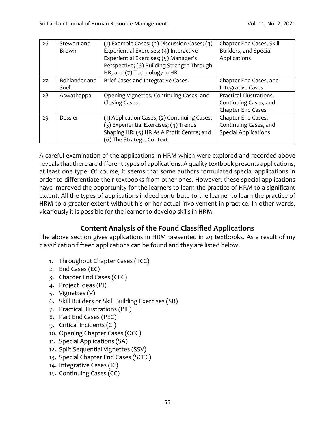| 26 | Stewart and   | (1) Example Cases; (2) Discussion Cases; $(3)$ | Chapter End Cases, Skill    |
|----|---------------|------------------------------------------------|-----------------------------|
|    | <b>Brown</b>  | Experiential Exercises; (4) Interactive        | Builders, and Special       |
|    |               | Experiential Exercises; (5) Manager's          | Applications                |
|    |               | Perspective; (6) Building Strength Through     |                             |
|    |               | HR; and (7) Technology in HR                   |                             |
| 27 | Bohlander and | Brief Cases and Integrative Cases.             | Chapter End Cases, and      |
|    | Snell         |                                                | <b>Integrative Cases</b>    |
| 28 | Aswathappa    | Opening Vignettes, Continuing Cases, and       | Practical Illustrations,    |
|    |               | Closing Cases.                                 | Continuing Cases, and       |
|    |               |                                                | Chapter End Cases           |
| 29 | Dessler       | (1) Application Cases; (2) Continuing Cases;   | Chapter End Cases,          |
|    |               | (3) Experiential Exercises; (4) Trends         | Continuing Cases, and       |
|    |               | Shaping HR; (5) HR As A Profit Centre; and     | <b>Special Applications</b> |
|    |               | (6) The Strategic Context                      |                             |

A careful examination of the applications in HRM which were explored and recorded above reveals that there are different types of applications. A quality textbook presents applications, at least one type. Of course, it seems that some authors formulated special applications in order to differentiate their textbooks from other ones. However, these special applications have improved the opportunity for the learners to learn the practice of HRM to a significant extent. All the types of applications indeed contribute to the learner to learn the practice of HRM to a greater extent without his or her actual involvement in practice. In other words, vicariously it is possible for the learner to develop skills in HRM.

# **Content Analysis of the Found Classified Applications**

The above section gives applications in HRM presented in 29 textbooks. As a result of my classification fifteen applications can be found and they are listed below.

- 1. Throughout Chapter Cases (TCC)
- 2. End Cases (EC)
- 3. Chapter End Cases (CEC)
- 4. Project Ideas (PI)
- 5. Vignettes (V)
- 6. Skill Builders or Skill Building Exercises (SB)
- 7. Practical Illustrations (PIL)
- 8. Part End Cases (PEC)
- 9. Critical Incidents (CI)
- 10. Opening Chapter Cases (OCC)
- 11. Special Applications (SA)
- 12. Split Sequential Vignettes (SSV)
- 13. Special Chapter End Cases (SCEC)
- 14. Integrative Cases (IC)
- 15. Continuing Cases (CC)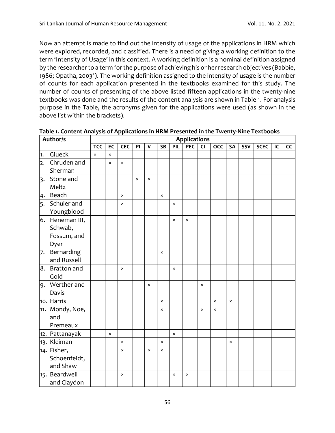Now an attempt is made to find out the intensity of usage of the applications in HRM which were explored, recorded, and classified. There is a need of giving a working definition to the term 'Intensity of Usage' in this context. A working definition is a nominal definition assigned by the researcher to a term for the purpose of achieving his or her research objectives (Babbie, 1986; Opatha, 2003<sup>2</sup>). The working definition assigned to the intensity of usage is the number of counts for each application presented in the textbooks examined for this study. The number of counts of presenting of the above listed fifteen applications in the twenty-nine textbooks was done and the results of the content analysis are shown in Table 1. For analysis purpose in the Table, the acronyms given for the applications were used (as shown in the above list within the brackets).

|                  | Author/s        | <b>Applications</b> |                           |                |                |              |                |                |                |                |                |                |     |             |    |    |
|------------------|-----------------|---------------------|---------------------------|----------------|----------------|--------------|----------------|----------------|----------------|----------------|----------------|----------------|-----|-------------|----|----|
|                  |                 | <b>TCC</b>          | EC                        | <b>CEC</b>     | PI             | $\mathbf{v}$ | <b>SB</b>      | PIL            | <b>PEC</b>     | CI             | <b>OCC</b>     | <b>SA</b>      | SSV | <b>SCEC</b> | IC | cc |
| 1.               | Glueck          | $\pmb{\times}$      | $\pmb{\times}$            |                |                |              |                |                |                |                |                |                |     |             |    |    |
| $\overline{2}$ . | Chruden and     |                     | $\times$                  | $\times$       |                |              |                |                |                |                |                |                |     |             |    |    |
|                  | Sherman         |                     |                           |                |                |              |                |                |                |                |                |                |     |             |    |    |
| $\overline{3}$   | Stone and       |                     |                           |                | $\pmb{\times}$ | $\times$     |                |                |                |                |                |                |     |             |    |    |
|                  | Meltz           |                     |                           |                |                |              |                |                |                |                |                |                |     |             |    |    |
| 4.               | Beach           |                     |                           | $\pmb{\times}$ |                |              | $\pmb{\times}$ |                |                |                |                |                |     |             |    |    |
| 5.               | Schuler and     |                     |                           | $\pmb{\times}$ |                |              |                | $\pmb{\times}$ |                |                |                |                |     |             |    |    |
|                  | Youngblood      |                     |                           |                |                |              |                |                |                |                |                |                |     |             |    |    |
|                  | 6. Heneman III, |                     |                           |                |                |              |                | $\times$       | $\pmb{\times}$ |                |                |                |     |             |    |    |
|                  | Schwab,         |                     |                           |                |                |              |                |                |                |                |                |                |     |             |    |    |
|                  | Fossum, and     |                     |                           |                |                |              |                |                |                |                |                |                |     |             |    |    |
|                  | Dyer            |                     |                           |                |                |              |                |                |                |                |                |                |     |             |    |    |
| 7.               | Bernarding      |                     |                           |                |                |              | $\times$       |                |                |                |                |                |     |             |    |    |
|                  | and Russell     |                     |                           |                |                |              |                |                |                |                |                |                |     |             |    |    |
| 8.               | Bratton and     |                     |                           | $\pmb{\times}$ |                |              |                | $\times$       |                |                |                |                |     |             |    |    |
|                  | Gold            |                     |                           |                |                |              |                |                |                |                |                |                |     |             |    |    |
| 9.               | Werther and     |                     |                           |                |                | $\times$     |                |                |                | $\pmb{\times}$ |                |                |     |             |    |    |
|                  | Davis           |                     |                           |                |                |              |                |                |                |                |                |                |     |             |    |    |
|                  | 10. Harris      |                     |                           |                |                |              | $\pmb{\times}$ |                |                |                | $\pmb{\times}$ | $\pmb{\times}$ |     |             |    |    |
|                  | 11. Mondy, Noe, |                     |                           |                |                |              | ×              |                |                | $\pmb{\times}$ | $\pmb{\times}$ |                |     |             |    |    |
|                  | and             |                     |                           |                |                |              |                |                |                |                |                |                |     |             |    |    |
|                  | Premeaux        |                     |                           |                |                |              |                |                |                |                |                |                |     |             |    |    |
|                  | 12. Pattanayak  |                     | $\boldsymbol{\mathsf{x}}$ |                |                |              |                | $\times$       |                |                |                |                |     |             |    |    |
|                  | 13. Kleiman     |                     |                           | $\pmb{\times}$ |                |              | $\pmb{\times}$ |                |                |                |                | $\pmb{\times}$ |     |             |    |    |
|                  | 14. Fisher,     |                     |                           | $\pmb{\times}$ |                | $\times$     | ×              |                |                |                |                |                |     |             |    |    |
|                  | Schoenfeldt,    |                     |                           |                |                |              |                |                |                |                |                |                |     |             |    |    |
|                  | and Shaw        |                     |                           |                |                |              |                |                |                |                |                |                |     |             |    |    |
|                  | 15. Beardwell   |                     |                           | $\times$       |                |              |                | $\pmb{\times}$ | $\pmb{\times}$ |                |                |                |     |             |    |    |
|                  | and Claydon     |                     |                           |                |                |              |                |                |                |                |                |                |     |             |    |    |

**Table 1. Content Analysis of Applications in HRM Presented in the Twenty-Nine Textbooks**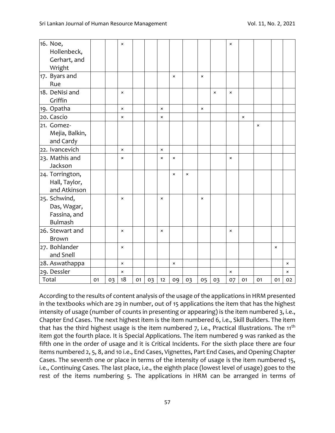| 16. Noe,        |    |    | $\pmb{\times}$ |    |    |                |          |                |                |                | $\times$       |                |          |                |                |
|-----------------|----|----|----------------|----|----|----------------|----------|----------------|----------------|----------------|----------------|----------------|----------|----------------|----------------|
| Hollenbeck,     |    |    |                |    |    |                |          |                |                |                |                |                |          |                |                |
| Gerhart, and    |    |    |                |    |    |                |          |                |                |                |                |                |          |                |                |
| Wright          |    |    |                |    |    |                |          |                |                |                |                |                |          |                |                |
| 17. Byars and   |    |    |                |    |    |                | $\times$ |                | $\pmb{\times}$ |                |                |                |          |                |                |
| Rue             |    |    |                |    |    |                |          |                |                |                |                |                |          |                |                |
| 18. DeNisi and  |    |    | $\pmb{\times}$ |    |    |                |          |                |                | $\pmb{\times}$ | ×              |                |          |                |                |
| Griffin         |    |    |                |    |    |                |          |                |                |                |                |                |          |                |                |
| 19. Opatha      |    |    | $\pmb{\times}$ |    |    | $\pmb{\times}$ |          |                | $\pmb{\times}$ |                |                |                |          |                |                |
| 20. Cascio      |    |    | ×              |    |    | ×              |          |                |                |                |                | $\pmb{\times}$ |          |                |                |
| 21. Gomez-      |    |    |                |    |    |                |          |                |                |                |                |                | $\times$ |                |                |
| Mejia, Balkin,  |    |    |                |    |    |                |          |                |                |                |                |                |          |                |                |
| and Cardy       |    |    |                |    |    |                |          |                |                |                |                |                |          |                |                |
| 22. Ivancevich  |    |    | $\pmb{\times}$ |    |    | $\pmb{\times}$ |          |                |                |                |                |                |          |                |                |
| 23. Mathis and  |    |    | ×              |    |    | $\times$       | ×        |                |                |                | ×              |                |          |                |                |
| Jackson         |    |    |                |    |    |                |          |                |                |                |                |                |          |                |                |
| 24. Torrington, |    |    |                |    |    |                | ×        | $\pmb{\times}$ |                |                |                |                |          |                |                |
| Hall, Taylor,   |    |    |                |    |    |                |          |                |                |                |                |                |          |                |                |
| and Atkinson    |    |    |                |    |    |                |          |                |                |                |                |                |          |                |                |
| 25. Schwind,    |    |    | $\pmb{\times}$ |    |    | $\pmb{\times}$ |          |                | $\pmb{\times}$ |                |                |                |          |                |                |
| Das, Wagar,     |    |    |                |    |    |                |          |                |                |                |                |                |          |                |                |
| Fassina, and    |    |    |                |    |    |                |          |                |                |                |                |                |          |                |                |
| <b>Bulmash</b>  |    |    |                |    |    |                |          |                |                |                |                |                |          |                |                |
| 26. Stewart and |    |    | $\times$       |    |    | $\times$       |          |                |                |                | $\times$       |                |          |                |                |
| Brown           |    |    |                |    |    |                |          |                |                |                |                |                |          |                |                |
| 27. Bohlander   |    |    | $\pmb{\times}$ |    |    |                |          |                |                |                |                |                |          | $\pmb{\times}$ |                |
| and Snell       |    |    |                |    |    |                |          |                |                |                |                |                |          |                |                |
| 28. Aswathappa  |    |    | $\pmb{\times}$ |    |    |                | ×        |                |                |                |                |                |          |                | $\pmb{\times}$ |
| 29. Dessler     |    |    | ×              |    |    |                |          |                |                |                | $\pmb{\times}$ |                |          |                | $\pmb{\times}$ |
| Total           | 01 | 03 | 18             | 01 | 03 | 12             | 09       | 03             | 05             | 03             | 07             | 01             | 01       | 01             | 02             |

According to the results of content analysis of the usage of the applications in HRM presented in the textbooks which are 29 in number, out of 15 applications the item that has the highest intensity of usage (number of counts in presenting or appearing) is the item numbered 3, i.e., Chapter End Cases. The next highest item is the item numbered 6, i.e., Skill Builders. The item that has the third highest usage is the item numbered  $7$ , i.e., Practical Illustrations. The 11<sup>th</sup> item got the fourth place. It is Special Applications. The item numbered 9 was ranked as the fifth one in the order of usage and it is Critical Incidents. For the sixth place there are four items numbered 2, 5, 8, and 10 i.e., End Cases, Vignettes, Part End Cases, and Opening Chapter Cases. The seventh one or place in terms of the intensity of usage is the item numbered 15, i.e., Continuing Cases. The last place, i.e., the eighth place (lowest level of usage) goes to the rest of the items numbering 5. The applications in HRM can be arranged in terms of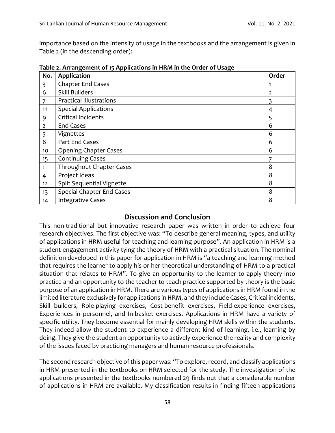importance based on the intensity of usage in the textbooks and the arrangement is given in Table 2 (in the descending order):

| No.            | Application                      | Order          |
|----------------|----------------------------------|----------------|
| 3              | <b>Chapter End Cases</b>         |                |
| 6              | <b>Skill Builders</b>            | $\overline{2}$ |
|                | <b>Practical Illustrations</b>   |                |
| 11             | <b>Special Applications</b>      | 4              |
| 9              | Critical Incidents               | 5              |
| $\overline{2}$ | <b>End Cases</b>                 | 6              |
| 5              | Vignettes                        | 6              |
| 8              | Part End Cases                   | 6              |
| 10             | <b>Opening Chapter Cases</b>     | 6              |
| 15             | <b>Continuing Cases</b>          |                |
|                | Throughout Chapter Cases         | 8              |
| 4              | Project Ideas                    | 8              |
| 12             | <b>Split Sequential Vignette</b> | 8              |
| 13             | <b>Special Chapter End Cases</b> | 8              |
| 14             | <b>Integrative Cases</b>         | 8              |

**Table 2. Arrangement of 15 Applications in HRM in the Order of Usage**

#### **Discussion and Conclusion**

This non-traditional but innovative research paper was written in order to achieve four research objectives. The first objective was: "To describe general meaning, types, and utility of applications in HRM useful for teaching and learning purpose". An application in HRM is a student-engagement activity tying the theory of HRM with a practical situation. The nominal definition developed in this paper for application in HRM is "a teaching and learning method that requires the learner to apply his or her theoretical understanding of HRM to a practical situation that relates to HRM". To give an opportunity to the learner to apply theory into practice and an opportunity to the teacher to teach practice supported by theory is the basic purpose of an application in HRM. There are various types of applications in HRM found in the limited literature exclusively for applications in HRM, and they include Cases, Critical incidents, Skill builders, Role-playing exercises, Cost-benefit exercises, Field-experience exercises, Experiences in personnel, and In-basket exercises. Applications in HRM have a variety of specific utility. They become essential for mainly developing HRM skills within the students. They indeed allow the student to experience a different kind of learning, i.e., learning by doing. They give the student an opportunity to actively experience the reality and complexity of the issues faced by practicing managers and human resource professionals.

The second research objective of this paper was: "To explore, record, and classify applications in HRM presented in the textbooks on HRM selected for the study. The investigation of the applications presented in the textbooks numbered 29 finds out that a considerable number of applications in HRM are available. My classification results in finding fifteen applications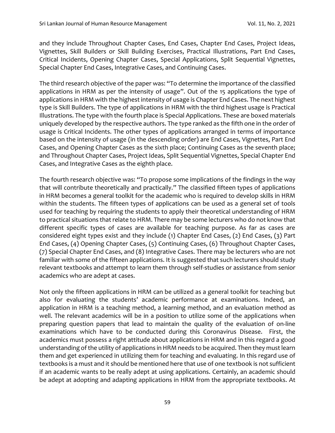and they include Throughout Chapter Cases, End Cases, Chapter End Cases, Project Ideas, Vignettes, Skill Builders or Skill Building Exercises, Practical Illustrations, Part End Cases, Critical Incidents, Opening Chapter Cases, Special Applications, Split Sequential Vignettes, Special Chapter End Cases, Integrative Cases, and Continuing Cases.

The third research objective of the paper was: "To determine the importance of the classified applications in HRM as per the intensity of usage". Out of the 15 applications the type of applications in HRM with the highest intensity of usage is Chapter End Cases. The next highest type is Skill Builders. The type of applications in HRM with the third highest usage is Practical Illustrations. The type with the fourth place is Special Applications. These are boxed materials uniquely developed by the respective authors. The type ranked as the fifth one in the order of usage is Critical Incidents. The other types of applications arranged in terms of importance based on the intensity of usage (in the descending order) are End Cases, Vignettes, Part End Cases, and Opening Chapter Cases as the sixth place; Continuing Cases as the seventh place; and Throughout Chapter Cases, Project Ideas, Split Sequential Vignettes, Special Chapter End Cases, and Integrative Cases as the eighth place.

The fourth research objective was: "To propose some implications of the findings in the way that will contribute theoretically and practically." The classified fifteen types of applications in HRM becomes a general toolkit for the academic who is required to develop skills in HRM within the students. The fifteen types of applications can be used as a general set of tools used for teaching by requiring the students to apply their theoretical understanding of HRM to practical situations that relate to HRM. There may be some lecturers who do not know that different specific types of cases are available for teaching purpose. As far as cases are considered eight types exist and they include (1) Chapter End Cases, (2) End Cases, (3) Part End Cases, (4) Opening Chapter Cases, (5) Continuing Cases, (6) Throughout Chapter Cases, (7) Special Chapter End Cases, and (8) Integrative Cases. There may be lecturers who are not familiar with some of the fifteen applications. It is suggested that such lecturers should study relevant textbooks and attempt to learn them through self-studies or assistance from senior academics who are adept at cases.

Not only the fifteen applications in HRM can be utilized as a general toolkit for teaching but also for evaluating the students' academic performance at examinations. Indeed, an application in HRM is a teaching method, a learning method, and an evaluation method as well. The relevant academics will be in a position to utilize some of the applications when preparing question papers that lead to maintain the quality of the evaluation of on-line examinations which have to be conducted during this Coronavirus Disease. First, the academics must possess a right attitude about applications in HRM and in this regard a good understanding of the utility of applications in HRM needs to be acquired. Then they must learn them and get experienced in utilizing them for teaching and evaluating. In this regard use of textbooks is a must and it should be mentioned here that use of one textbook is not sufficient if an academic wants to be really adept at using applications. Certainly, an academic should be adept at adopting and adapting applications in HRM from the appropriate textbooks. At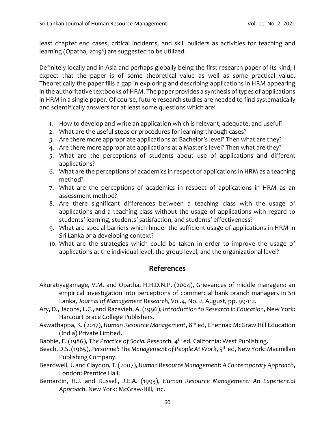least chapter end cases, critical incidents, and skill builders as activities for teaching and learning (Opatha, 2019<sup>3</sup>) are suggested to be utilized.

Definitely locally and in Asia and perhaps globally being the first research paper of its kind, I expect that the paper is of some theoretical value as well as some practical value. Theoretically the paper fills a gap in exploring and describing applications in HRM appearing in the authoritative textbooks of HRM. The paper provides a synthesis of types of applications in HRM in a single paper. Of course, future research studies are needed to find systematically and scientifically answers for at least some questions which are:

- 1. How to develop and write an application which is relevant, adequate, and useful?
- 2. What are the useful steps or procedures for learning through cases?
- 3. Are there more appropriate applications at Bachelor's level? Then what are they?
- 4. Are there more appropriate applications at a Master's level? Then what are they?
- 5. What are the perceptions of students about use of applications and different applications?
- 6. What are the perceptions of academics in respect of applications in HRM as a teaching method?
- 7. What are the perceptions of academics in respect of applications in HRM as an assessment method?
- 8. Are there significant differences between a teaching class with the usage of applications and a teaching class without the usage of applications with regard to students' learning, students' satisfaction, and students' effectiveness?
- 9. What are special barriers which hinder the sufficient usage of applications in HRM in Sri Lanka or a developing context?
- 10. What are the strategies which could be taken in order to improve the usage of applications at the individual level, the group level, and the organizational level?

## **References**

- Akuratiyagamage, V.M. and Opatha, H.H.D.N.P. (2004), Grievances of middle managers: an empirical investigation into perceptions of commercial bank branch managers in Sri Lanka, *Journal of Management Research*, Vol.4, No. 2, August, pp. 99-112.
- Ary, D., Jacobs, L.C., and Razavieh, A. (1996), *Introduction to Research in Education*, New York: Harcourt Brace College Publishers.
- Aswathappa, K. (2017), *Human Resource Management*, 8th ed, Chennai: McGraw Hill Education (India) Private Limited.
- Babbie, E. (1986), *The Practice of Social Research*, 4th ed, California: West Publishing.
- Beach, D.S. (1985), *Personnel: The Management of People At Work*, 5th ed, New York: Macmillan Publishing Company.
- Beardwell, J. and Claydon, T. (2007), *Human Resource Management: A Contemporary Approach*, London: Prentice Hall.
- Bernardin, H.J. and Russell, J.E.A. (1993), *Human Resource Management: An Experiential Approach*, New York: McGraw-Hill, Inc.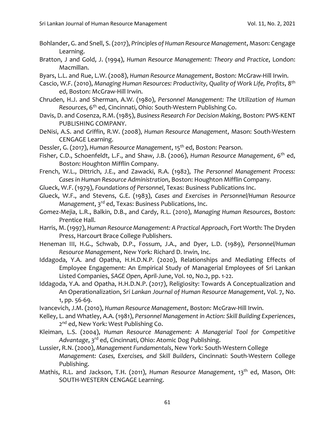- Bohlander, G. and Snell, S. (2017), *Principles of Human Resource Management*, Mason: Cengage Learning.
- Bratton, J and Gold, J. (1994), *Human Resource Management: Theory and Practice*, London: Macmillan.
- Byars, L.L. and Rue, L.W. (2008), *Human Resource Management*, Boston: McGraw-Hill Irwin.
- Cascio, W.F. (2010), *Managing Human Resources: Productivity, Quality of Work Life, Profits*, 8 th ed, Boston: McGraw-Hill Irwin.
- Chruden, H.J. and Sherman, A.W. (1980), *Personnel Management: The Utilization of Human Resources*, 6th ed, Cincinnati, Ohio: South-Western Publishing Co.
- Davis, D. and Cosenza, R.M. (1985), *Business Research For Decision Making*, Boston: PWS-KENT PUBLISHING COMPANY.
- DeNisi, A.S. and Griffin, R.W. (2008), *Human Resource Management*, Mason: South-Western CENGAGE Learning.
- Dessler, G. (2017), *Human Resource Management*, 15th ed, Boston: Pearson.
- Fisher, C.D., Schoenfeldt, L.F., and Shaw, J.B. (2006), *Human Resource Management*, 6th ed, Boston: Houghton Mifflin Company.
- French, W.L., Dittrich, J.E., and Zawacki, R.A. (1982), *The Personnel Management Process: Cases in Human Resource Administration*, Boston: Houghton Mifflin Company.
- Glueck, W.F. (1979), *Foundations of Personnel*, Texas: Business Publications Inc.
- Glueck, W.F., and Stevens, G.E. (1983), *Cases and Exercises in Personnel/Human Resource Management*, 3rd ed, Texas: Business Publications, Inc.
- Gomez-Mejia, L.R., Balkin, D.B., and Cardy, R.L. (2010), *Managing Human Resources*, Boston: Prentice Hall.
- Harris, M. (1997), *Human Resource Management: A Practical Approach*, Fort Worth: The Dryden Press, Harcourt Brace College Publishers.
- Heneman III, H.G., Schwab, D.P., Fossum, J.A., and Dyer, L.D. (1989), *Personnel/Human Resource Management*, New York: Richard D. Irwin, Inc.
- Iddagoda, Y.A. and Opatha, H.H.D.N.P. (2020), Relationships and Mediating Effects of Employee Engagement: An Empirical Study of Managerial Employees of Sri Lankan Listed Companies, *SAGE Open*, April-June, Vol. 10, No.2, pp. 1-22.
- Iddagoda, Y.A. and Opatha, H.H.D.N.P. (2017), Religiosity: Towards A Conceptualization and An Operationalization, *Sri Lankan Journal of Human Resource Management*, Vol. 7, No. 1, pp. 56-69.
- Ivancevich, J.M. (2010), *Human Resource Management*, Boston: McGraw-Hill Irwin.
- Kelley, L. and Whatley, A.A. (1981), *Personnel Management in Action: Skill Building Experiences*, 2<sup>nd</sup> ed, New York: West Publishing Co.
- Kleiman, L.S. (2004), *Human Resource Management: A Managerial Tool for Competitive Advantage*, 3rd ed, Cincinnati, Ohio: Atomic Dog Publishing.
- Lussier, R.N. (2000), *Management Fundamentals*, New York: South-Western College *Management: Cases, Exercises, and Skill Builders*, Cincinnati: South-Western College Publishing.
- Mathis, R.L. and Jackson, T.H. (2011), *Human Resource Management*, 13<sup>th</sup> ed, Mason, OH: SOUTH-WESTERN CENGAGE Learning.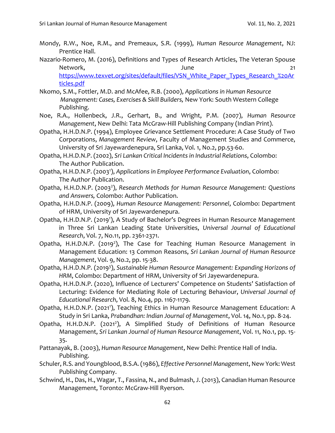- Mondy, R.W., Noe, R.M., and Premeaux, S.R. (1999), *Human Resource Management*, NJ: Prentice Hall.
- Nazario-Romero, M. (2016), Definitions and Types of Research Articles, The Veteran Spouse Network, 21 [https://www.texvet.org/sites/default/files/VSN\\_White\\_Paper\\_Types\\_Research\\_%20Ar](https://www.texvet.org/sites/default/files/VSN_White_Paper_Types_Research_%20Articles.pdf) [ticles.pdf](https://www.texvet.org/sites/default/files/VSN_White_Paper_Types_Research_%20Articles.pdf)
- Nkomo, S.M., Fottler, M.D. and McAfee, R.B. (2000), *Applications in Human Resource Management: Cases, Exercises & Skill Builders,* New York: South Western College Publishing.
- Noe, R.A., Hollenbeck, J.R., Gerhart, B., and Wright, P.M. (2007), *Human Resource Management*, New Delhi: Tata McGraw-Hill Publishing Company (Indian Print).
- Opatha, H.H.D.N.P. (1994), Employee Grievance Settlement Procedure: A Case Study of Two Corporations, *Management Review*, Faculty of Management Studies and Commerce, University of Sri Jayewardenepura, Sri Lanka, Vol. 1, No.2, pp.53-60.
- Opatha, H.H.D.N.P. (2002), *Sri Lankan Critical Incidents in Industrial Relations*, Colombo: The Author Publication.
- Opatha, H.H.D.N.P. (2003<sup>1</sup> ), *Applications in Employee Performance Evaluation*, Colombo: The Author Publication.
- Opatha, H.H.D.N.P. (2003<sup>2</sup>), Research Methods for Human Resource Management: Questions *and Answers,* Colombo: Author Publication.
- Opatha, H.H.D.N.P. (2009), *Human Resource Management: Personnel*, Colombo: Department of HRM, University of Sri Jayewardenepura.
- Opatha, H.H.D.N.P. (2019<sup>1</sup>), A Study of Bachelor's Degrees in Human Resource Management in Three Sri Lankan Leading State Universities, *Universal Journal of Educational Research*, Vol. 7, No.11, pp. 2361-2371.
- Opatha, H.H.D.N.P. (2019<sup>2</sup>), The Case for Teaching Human Resource Management in Management Education: 13 Common Reasons, *Sri Lankan Journal of Human Resource Management*, Vol. 9, No.2, pp. 15-38.
- Opatha, H.H.D.N.P. (2019<sup>3</sup>), Sustainable Human Resource Management: Expanding Horizons of *HRM*, Colombo: Department of HRM, University of Sri Jayewardenepura.
- Opatha, H.H.D.N.P. (2020), Influence of Lecturers' Competence on Students' Satisfaction of Lecturing: Evidence for Mediating Role of Lecturing Behaviour, *Universal Journal of Educational Research*, Vol. 8, No.4, pp. 1167-1179.
- Opatha, H.H.D.N.P. (2021<sup>1</sup>), Teaching Ethics in Human Resource Management Education: A Study in Sri Lanka, *Prabandhan: Indian Journal of Management*, Vol. 14, No.1, pp. 8-24.
- Opatha, H.H.D.N.P. (2021<sup>2</sup>), A Simplified Study of Definitions of Human Resource Management, *Sri Lankan Journal of Human Resource Management*, Vol. 11, No.1, pp. 15- 35.
- Pattanayak, B. (2003), *Human Resource Management*, New Delhi: Prentice Hall of India. Publishing.
- Schuler, R.S. and Youngblood, B.S.A. (1986), *Effective Personnel Management*, New York: West Publishing Company.
- Schwind, H., Das, H., Wagar, T., Fassina, N., and Bulmash, J. (2013), Canadian Human Resource Management, Toronto: McGraw-Hill Ryerson.